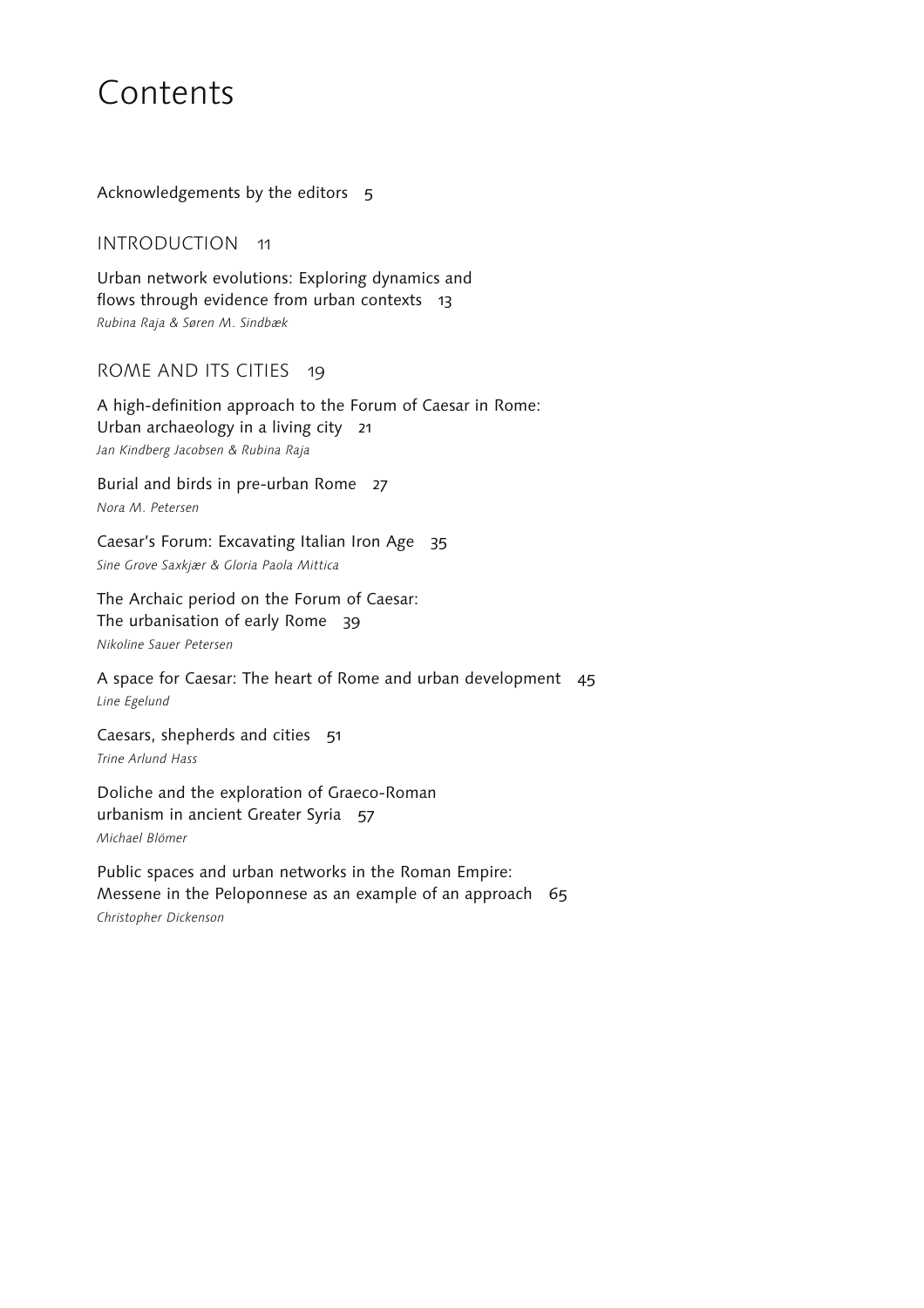# Contents

Acknowledgements by the editors 5

INTRODUCTION 11

Urban network evolutions: Exploring dynamics and flows through evidence from urban contexts 13 *Rubina Raja & Søren M. Sindbæk*

## ROME AND ITS CITIES 19

A high-definition approach to the Forum of Caesar in Rome: Urban archaeology in a living city 21 *Jan Kindberg Jacobsen & Rubina Raja*

Burial and birds in pre-urban Rome 27 *Nora M. Petersen*

Caesar's Forum: Excavating Italian Iron Age 35 *Sine Grove Saxkjær & Gloria Paola Mittica*

The Archaic period on the Forum of Caesar: The urbanisation of early Rome 39 *Nikoline Sauer Petersen*

A space for Caesar: The heart of Rome and urban development 45 *Line Egelund*

Caesars, shepherds and cities 51 *Trine Arlund Hass*

Doliche and the exploration of Graeco-Roman urbanism in ancient Greater Syria 57 *Michael Blömer*

Public spaces and urban networks in the Roman Empire: Messene in the Peloponnese as an example of an approach 65 *Christopher Dickenson*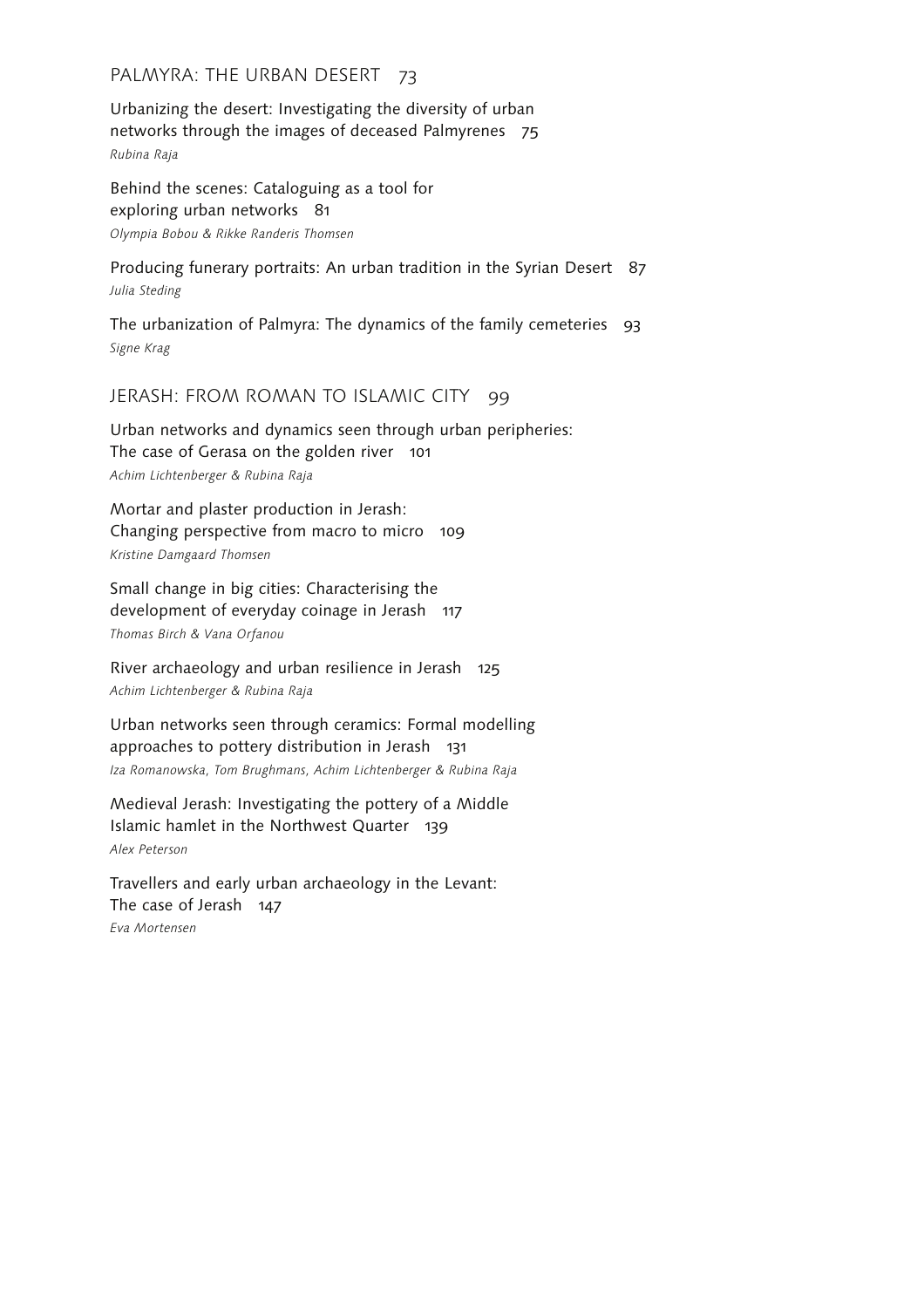## PALMYRA: THE URBAN DESERT 73

Urbanizing the desert: Investigating the diversity of urban networks through the images of deceased Palmyrenes 75 *Rubina Raja*

Behind the scenes: Cataloguing as a tool for exploring urban networks 81 *Olympia Bobou & Rikke Randeris Thomsen*

Producing funerary portraits: An urban tradition in the Syrian Desert 87 *Julia Steding*

The urbanization of Palmyra: The dynamics of the family cemeteries 93 *Signe Krag*

#### JERASH: FROM ROMAN TO ISLAMIC CITY 99

Urban networks and dynamics seen through urban peripheries: The case of Gerasa on the golden river 101 *Achim Lichtenberger & Rubina Raja*

Mortar and plaster production in Jerash: Changing perspective from macro to micro 109 *Kristine Damgaard Thomsen*

Small change in big cities: Characterising the development of everyday coinage in Jerash 117 *Thomas Birch & Vana Orfanou*

River archaeology and urban resilience in Jerash 125 *Achim Lichtenberger & Rubina Raja*

Urban networks seen through ceramics: Formal modelling approaches to pottery distribution in Jerash 131 *Iza Romanowska, Tom Brughmans, Achim Lichtenberger & Rubina Raja*

Medieval Jerash: Investigating the pottery of a Middle Islamic hamlet in the Northwest Quarter 139 *Alex Peterson*

Travellers and early urban archaeology in the Levant: The case of Jerash 147 *Eva Mortensen*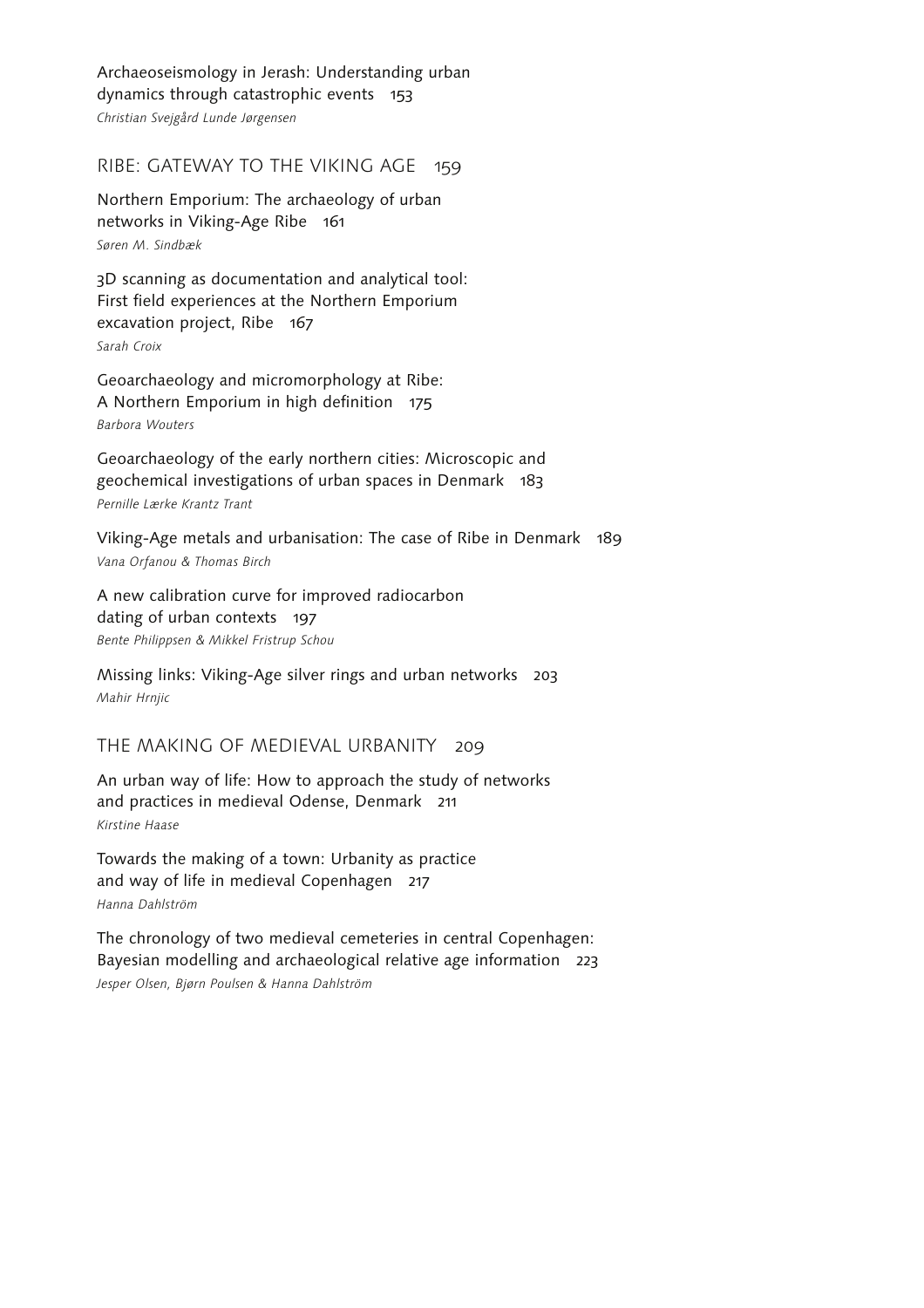Archaeoseismology in Jerash: Understanding urban dynamics through catastrophic events 153 *Christian Svejgård Lunde Jørgensen*

RIBE: GATEWAY TO THE VIKING AGE 159

Northern Emporium: The archaeology of urban networks in Viking-Age Ribe 161 *Søren M. Sindbæk*

3D scanning as documentation and analytical tool: First field experiences at the Northern Emporium excavation project, Ribe 167 *Sarah Croix*

Geoarchaeology and micromorphology at Ribe: A Northern Emporium in high definition 175 *Barbora Wouters*

Geoarchaeology of the early northern cities: Microscopic and geochemical investigations of urban spaces in Denmark 183 *Pernille Lærke Krantz Trant*

Viking-Age metals and urbanisation: The case of Ribe in Denmark 189 *Vana Orfanou & Thomas Birch*

A new calibration curve for improved radiocarbon dating of urban contexts 197 *Bente Philippsen & Mikkel Fristrup Schou*

Missing links: Viking-Age silver rings and urban networks 203 *Mahir Hrnjic*

THE MAKING OF MEDIEVAL URBANITY 209

An urban way of life: How to approach the study of networks and practices in medieval Odense, Denmark 211 *Kirstine Haase*

Towards the making of a town: Urbanity as practice and way of life in medieval Copenhagen 217 *Hanna Dahlström*

The chronology of two medieval cemeteries in central Copenhagen: Bayesian modelling and archaeological relative age information 223 *Jesper Olsen, Bjørn Poulsen & Hanna Dahlström*